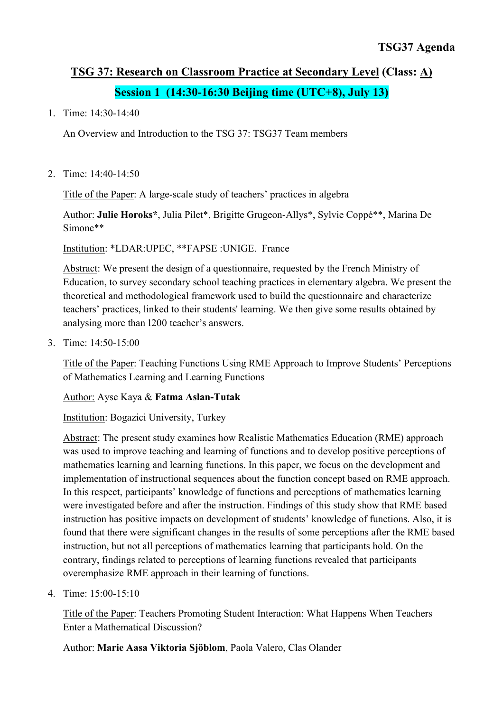# **TSG 37: Research on Classroom Practice at Secondary Level (Class: A) Session 1 (14:30-16:30 Beijing time (UTC+8), July 13)**

1. Time: 14:30-14:40

An Overview and Introduction to the TSG 37: TSG37 Team members

2. Time: 14:40-14:50

Title of the Paper: A large-scale study of teachers' practices in algebra

Author: **Julie Horoks\***, Julia Pilet\*, Brigitte Grugeon-Allys\*, Sylvie Coppé\*\*, Marina De Simone\*\*

Institution: \*LDAR:UPEC, \*\*FAPSE :UNIGE. France

Abstract: We present the design of a questionnaire, requested by the French Ministry of Education, to survey secondary school teaching practices in elementary algebra. We present the theoretical and methodological framework used to build the questionnaire and characterize teachers' practices, linked to their students' learning. We then give some results obtained by analysing more than 1200 teacher's answers.

3. Time: 14:50-15:00

Title of the Paper: Teaching Functions Using RME Approach to Improve Students' Perceptions of Mathematics Learning and Learning Functions

Author: Ayse Kaya & **Fatma Aslan-Tutak**

Institution: Bogazici University, Turkey

Abstract: The present study examines how Realistic Mathematics Education (RME) approach was used to improve teaching and learning of functions and to develop positive perceptions of mathematics learning and learning functions. In this paper, we focus on the development and implementation of instructional sequences about the function concept based on RME approach. In this respect, participants' knowledge of functions and perceptions of mathematics learning were investigated before and after the instruction. Findings of this study show that RME based instruction has positive impacts on development of students' knowledge of functions. Also, it is found that there were significant changes in the results of some perceptions after the RME based instruction, but not all perceptions of mathematics learning that participants hold. On the contrary, findings related to perceptions of learning functions revealed that participants overemphasize RME approach in their learning of functions.

4. Time: 15:00-15:10

Title of the Paper: Teachers Promoting Student Interaction: What Happens When Teachers Enter a Mathematical Discussion?

Author: **Marie Aasa Viktoria Sjöblom**, Paola Valero, Clas Olander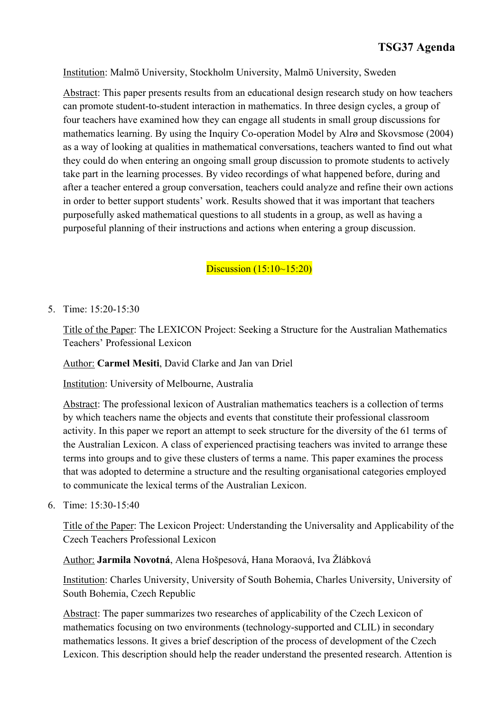Institution: Malmö University, Stockholm University, Malmö University, Sweden

Abstract: This paper presents results from an educational design research study on how teachers can promote student-to-student interaction in mathematics. In three design cycles, a group of four teachers have examined how they can engage all students in small group discussions for mathematics learning. By using the Inquiry Co-operation Model by Alrø and Skovsmose (2004) as a way of looking at qualities in mathematical conversations, teachers wanted to find out what they could do when entering an ongoing small group discussion to promote students to actively take part in the learning processes. By video recordings of what happened before, during and after a teacher entered a group conversation, teachers could analyze and refine their own actions in order to better support students' work. Results showed that it was important that teachers purposefully asked mathematical questions to all students in a group, as well as having a purposeful planning of their instructions and actions when entering a group discussion.

Discussion (15:10~15:20)

5. Time: 15:20-15:30

Title of the Paper: The LEXICON Project: Seeking a Structure for the Australian Mathematics Teachers' Professional Lexicon

Author: **Carmel Mesiti**, David Clarke and Jan van Driel

Institution: University of Melbourne, Australia

Abstract: The professional lexicon of Australian mathematics teachers is a collection of terms by which teachers name the objects and events that constitute their professional classroom activity. In this paper we report an attempt to seek structure for the diversity of the 61 terms of the Australian Lexicon. A class of experienced practising teachers was invited to arrange these terms into groups and to give these clusters of terms a name. This paper examines the process that was adopted to determine a structure and the resulting organisational categories employed to communicate the lexical terms of the Australian Lexicon.

6. Time: 15:30-15:40

Title of the Paper: The Lexicon Project: Understanding the Universality and Applicability of the Czech Teachers Professional Lexicon

Author: **Jarmila Novotná**, Alena Hošpesová, Hana Moraová, Iva Žlábková

Institution: Charles University, University of South Bohemia, Charles University, University of South Bohemia, Czech Republic

Abstract: The paper summarizes two researches of applicability of the Czech Lexicon of mathematics focusing on two environments (technology-supported and CLIL) in secondary mathematics lessons. It gives a brief description of the process of development of the Czech Lexicon. This description should help the reader understand the presented research. Attention is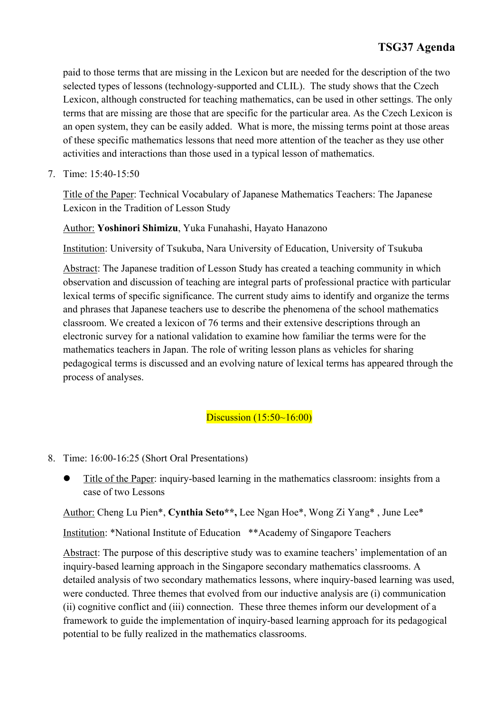paid to those terms that are missing in the Lexicon but are needed for the description of the two selected types of lessons (technology-supported and CLIL). The study shows that the Czech Lexicon, although constructed for teaching mathematics, can be used in other settings. The only terms that are missing are those that are specific for the particular area. As the Czech Lexicon is an open system, they can be easily added. What is more, the missing terms point at those areas of these specific mathematics lessons that need more attention of the teacher as they use other activities and interactions than those used in a typical lesson of mathematics.

7. Time: 15:40-15:50

Title of the Paper: Technical Vocabulary of Japanese Mathematics Teachers: The Japanese Lexicon in the Tradition of Lesson Study

Author: **Yoshinori Shimizu**, Yuka Funahashi, Hayato Hanazono

Institution: University of Tsukuba, Nara University of Education, University of Tsukuba

Abstract: The Japanese tradition of Lesson Study has created a teaching community in which observation and discussion of teaching are integral parts of professional practice with particular lexical terms of specific significance. The current study aims to identify and organize the terms and phrases that Japanese teachers use to describe the phenomena of the school mathematics classroom. We created a lexicon of 76 terms and their extensive descriptions through an electronic survey for a national validation to examine how familiar the terms were for the mathematics teachers in Japan. The role of writing lesson plans as vehicles for sharing pedagogical terms is discussed and an evolving nature of lexical terms has appeared through the process of analyses.

Discussion (15:50~16:00)

- 8. Time: 16:00-16:25 (Short Oral Presentations)
	- Title of the Paper: inquiry-based learning in the mathematics classroom: insights from a case of two Lessons

Author: Cheng Lu Pien\*, **Cynthia Seto\*\*,** Lee Ngan Hoe\*, Wong Zi Yang\* , June Lee\*

Institution: \*National Institute of Education \*\*Academy of Singapore Teachers

Abstract: The purpose of this descriptive study was to examine teachers' implementation of an inquiry-based learning approach in the Singapore secondary mathematics classrooms. A detailed analysis of two secondary mathematics lessons, where inquiry-based learning was used, were conducted. Three themes that evolved from our inductive analysis are (i) communication (ii) cognitive conflict and (iii) connection. These three themes inform our development of a framework to guide the implementation of inquiry-based learning approach for its pedagogical potential to be fully realized in the mathematics classrooms.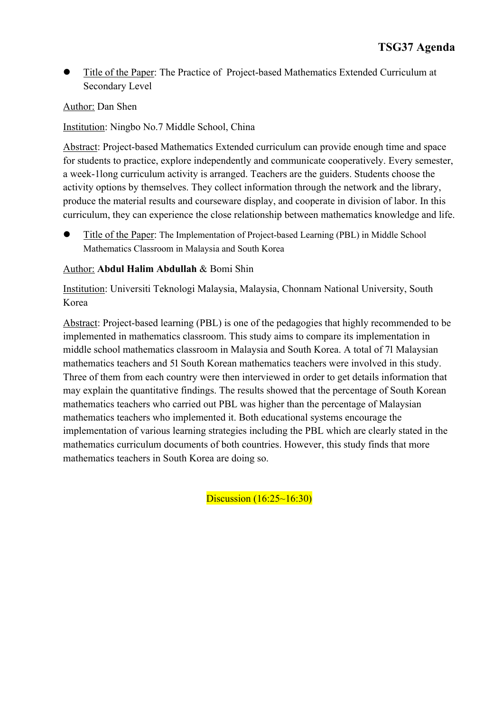Title of the Paper: The Practice of Project-based Mathematics Extended Curriculum at Secondary Level

Author: Dan Shen

Institution: Ningbo No.7 Middle School, China

Abstract: Project-based Mathematics Extended curriculum can provide enough time and space for students to practice, explore independently and communicate cooperatively. Every semester, a week-1long curriculum activity is arranged. Teachers are the guiders. Students choose the activity options by themselves. They collect information through the network and the library, produce the material results and courseware display, and cooperate in division of labor. In this curriculum, they can experience the close relationship between mathematics knowledge and life.

Title of the Paper: The Implementation of Project-based Learning (PBL) in Middle School Mathematics Classroom in Malaysia and South Korea

#### Author: **Abdul Halim Abdullah** & Bomi Shin

Institution: Universiti Teknologi Malaysia, Malaysia, Chonnam National University, South Korea

Abstract: Project-based learning (PBL) is one of the pedagogies that highly recommended to be implemented in mathematics classroom. This study aims to compare its implementation in middle school mathematics classroom in Malaysia and South Korea. A total of 71 Malaysian mathematics teachers and 51 South Korean mathematics teachers were involved in this study. Three of them from each country were then interviewed in order to get details information that may explain the quantitative findings. The results showed that the percentage of South Korean mathematics teachers who carried out PBL was higher than the percentage of Malaysian mathematics teachers who implemented it. Both educational systems encourage the implementation of various learning strategies including the PBL which are clearly stated in the mathematics curriculum documents of both countries. However, this study finds that more mathematics teachers in South Korea are doing so.

Discussion (16:25~16:30)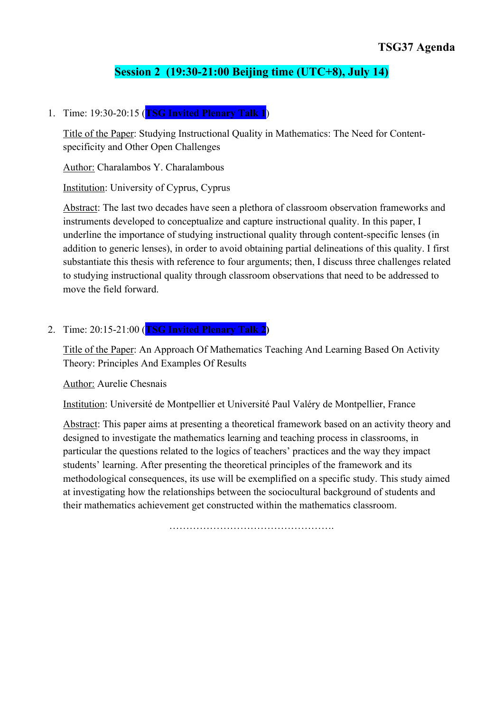# **Session 2 (19:30-21:00 Beijing time (UTC+8), July 14)**

1. Time: 19:30-20:15 (**TSG Invited Plenary Talk 1**)

Title of the Paper: Studying Instructional Quality in Mathematics: The Need for Contentspecificity and Other Open Challenges

Author: Charalambos Y. Charalambous

Institution: University of Cyprus, Cyprus

Abstract: The last two decades have seen a plethora of classroom observation frameworks and instruments developed to conceptualize and capture instructional quality. In this paper, I underline the importance of studying instructional quality through content-specific lenses (in addition to generic lenses), in order to avoid obtaining partial delineations of this quality. I first substantiate this thesis with reference to four arguments; then, I discuss three challenges related to studying instructional quality through classroom observations that need to be addressed to move the field forward.

## 2. Time: 20:15-21:00 (**TSG Invited Plenary Talk 2)**

Title of the Paper: An Approach Of Mathematics Teaching And Learning Based On Activity Theory: Principles And Examples Of Results

Author: Aurelie Chesnais

Institution: Université de Montpellier et Université Paul Valéry de Montpellier, France

Abstract: This paper aims at presenting a theoretical framework based on an activity theory and designed to investigate the mathematics learning and teaching process in classrooms, in particular the questions related to the logics of teachers' practices and the way they impact students' learning. After presenting the theoretical principles of the framework and its methodological consequences, its use will be exemplified on a specific study. This study aimed at investigating how the relationships between the sociocultural background of students and their mathematics achievement get constructed within the mathematics classroom.

………………………………………….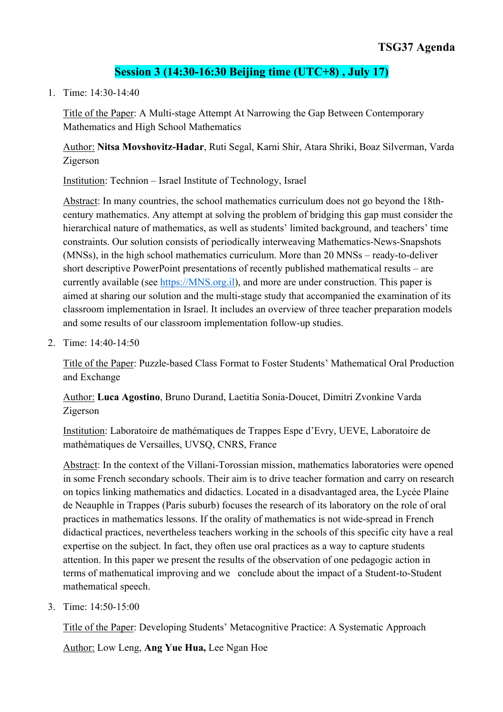# **Session 3 (14:30-16:30 Beijing time (UTC+8) , July 17)**

1. Time: 14:30-14:40

Title of the Paper: A Multi-stage Attempt At Narrowing the Gap Between Contemporary Mathematics and High School Mathematics

Author: **Nitsa Movshovitz-Hadar**, Ruti Segal, Karni Shir, Atara Shriki, Boaz Silverman, Varda Zigerson

Institution: Technion – Israel Institute of Technology, Israel

Abstract: In many countries, the school mathematics curriculum does not go beyond the 18thcentury mathematics. Any attempt at solving the problem of bridging this gap must consider the hierarchical nature of mathematics, as well as students' limited background, and teachers' time constraints. Our solution consists of periodically interweaving Mathematics-News-Snapshots (MNSs), in the high school mathematics curriculum. More than 20 MNSs – ready-to-deliver short descriptive PowerPoint presentations of recently published mathematical results – are currently available (see https://MNS.org.il), and more are under construction. This paper is aimed at sharing our solution and the multi-stage study that accompanied the examination of its classroom implementation in Israel. It includes an overview of three teacher preparation models and some results of our classroom implementation follow-up studies.

2. Time: 14:40-14:50

Title of the Paper: Puzzle-based Class Format to Foster Students' Mathematical Oral Production and Exchange

Author: **Luca Agostino**, Bruno Durand, Laetitia Sonia-Doucet, Dimitri Zvonkine Varda Zigerson

Institution: Laboratoire de mathématiques de Trappes Espe d'Evry, UEVE, Laboratoire de mathématiques de Versailles, UVSQ, CNRS, France

Abstract: In the context of the Villani-Torossian mission, mathematics laboratories were opened in some French secondary schools. Their aim is to drive teacher formation and carry on research on topics linking mathematics and didactics. Located in a disadvantaged area, the Lycée Plaine de Neauphle in Trappes (Paris suburb) focuses the research of its laboratory on the role of oral practices in mathematics lessons. If the orality of mathematics is not wide-spread in French didactical practices, nevertheless teachers working in the schools of this specific city have a real expertise on the subject. In fact, they often use oral practices as a way to capture students attention. In this paper we present the results of the observation of one pedagogic action in terms of mathematical improving and we conclude about the impact of a Student-to-Student mathematical speech.

3. Time: 14:50-15:00

Title of the Paper: Developing Students' Metacognitive Practice: A Systematic Approach

Author: Low Leng, **Ang Yue Hua,** Lee Ngan Hoe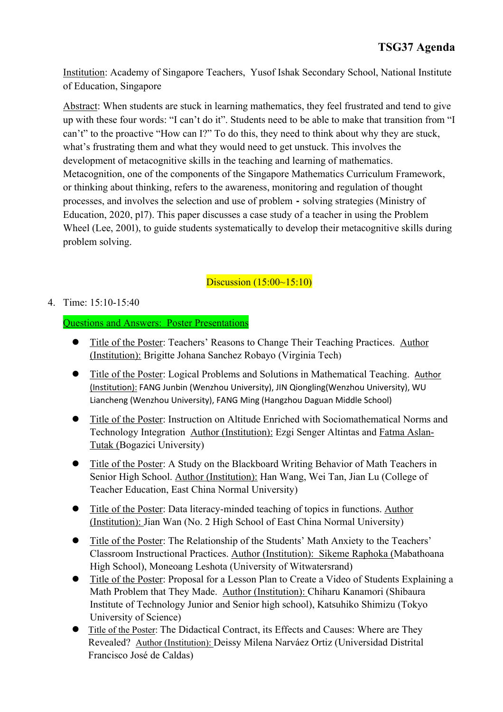Institution: Academy of Singapore Teachers, Yusof Ishak Secondary School, National Institute of Education, Singapore

Abstract: When students are stuck in learning mathematics, they feel frustrated and tend to give up with these four words: "I can't do it". Students need to be able to make that transition from "I can't" to the proactive "How can I?" To do this, they need to think about why they are stuck, what's frustrating them and what they would need to get unstuck. This involves the development of metacognitive skills in the teaching and learning of mathematics. Metacognition, one of the components of the Singapore Mathematics Curriculum Framework, or thinking about thinking, refers to the awareness, monitoring and regulation of thought processes, and involves the selection and use of problem - solving strategies (Ministry of Education, 2020, pl7). This paper discusses a case study of a teacher in using the Problem Wheel (Lee, 2001), to guide students systematically to develop their metacognitive skills during problem solving.

# Discussion (15:00~15:10)

#### 4. Time: 15:10-15:40

#### Questions and Answers: Poster Presentations

- **Title of the Poster: Teachers' Reasons to Change Their Teaching Practices. Author** (Institution): Brigitte Johana Sanchez Robayo (Virginia Tech)
- Title of the Poster: Logical Problems and Solutions in Mathematical Teaching. Author (Institution): FANG Junbin (Wenzhou University), JIN Qiongling(Wenzhou University), WU Liancheng (Wenzhou University), FANG Ming (Hangzhou Daguan Middle School)
- **•** Title of the Poster: Instruction on Altitude Enriched with Sociomathematical Norms and Technology Integration Author (Institution): Ezgi Senger Altintas and Fatma Aslan-Tutak (Bogazici University)
- Title of the Poster: A Study on the Blackboard Writing Behavior of Math Teachers in Senior High School. Author (Institution): Han Wang, Wei Tan, Jian Lu (College of Teacher Education, East China Normal University)
- Title of the Poster: Data literacy-minded teaching of topics in functions. Author (Institution): Jian Wan (No. 2 High School of East China Normal University)
- Title of the Poster: The Relationship of the Students' Math Anxiety to the Teachers' Classroom Instructional Practices. Author (Institution): Sikeme Raphoka (Mabathoana High School), Moneoang Leshota (University of Witwatersrand)
- Title of the Poster: Proposal for a Lesson Plan to Create a Video of Students Explaining a Math Problem that They Made. Author (Institution): Chiharu Kanamori (Shibaura Institute of Technology Junior and Senior high school), Katsuhiko Shimizu (Tokyo University of Science)
- Title of the Poster: The Didactical Contract, its Effects and Causes: Where are They Revealed? Author (Institution): Deissy Milena Narváez Ortiz (Universidad Distrital Francisco José de Caldas)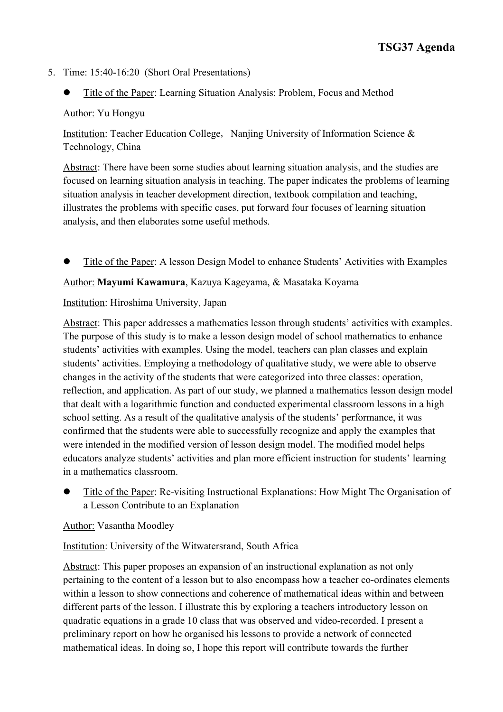#### 5. Time: 15:40-16:20 (Short Oral Presentations)

Title of the Paper: Learning Situation Analysis: Problem, Focus and Method

#### Author: Yu Hongyu

Institution: Teacher Education College, Nanjing University of Information Science & Technology, China

Abstract: There have been some studies about learning situation analysis, and the studies are focused on learning situation analysis in teaching. The paper indicates the problems of learning situation analysis in teacher development direction, textbook compilation and teaching, illustrates the problems with specific cases, put forward four focuses of learning situation analysis, and then elaborates some useful methods.

l Title of the Paper: A lesson Design Model to enhance Students' Activities with Examples

#### Author: **Mayumi Kawamura**, Kazuya Kageyama, & Masataka Koyama

#### Institution: Hiroshima University, Japan

Abstract: This paper addresses a mathematics lesson through students' activities with examples. The purpose of this study is to make a lesson design model of school mathematics to enhance students' activities with examples. Using the model, teachers can plan classes and explain students' activities. Employing a methodology of qualitative study, we were able to observe changes in the activity of the students that were categorized into three classes: operation, reflection, and application. As part of our study, we planned a mathematics lesson design model that dealt with a logarithmic function and conducted experimental classroom lessons in a high school setting. As a result of the qualitative analysis of the students' performance, it was confirmed that the students were able to successfully recognize and apply the examples that were intended in the modified version of lesson design model. The modified model helps educators analyze students' activities and plan more efficient instruction for students' learning in a mathematics classroom.

Title of the Paper: Re-visiting Instructional Explanations: How Might The Organisation of a Lesson Contribute to an Explanation

#### Author: Vasantha Moodley

Institution: University of the Witwatersrand, South Africa

Abstract: This paper proposes an expansion of an instructional explanation as not only pertaining to the content of a lesson but to also encompass how a teacher co-ordinates elements within a lesson to show connections and coherence of mathematical ideas within and between different parts of the lesson. I illustrate this by exploring a teachers introductory lesson on quadratic equations in a grade 10 class that was observed and video-recorded. I present a preliminary report on how he organised his lessons to provide a network of connected mathematical ideas. In doing so, I hope this report will contribute towards the further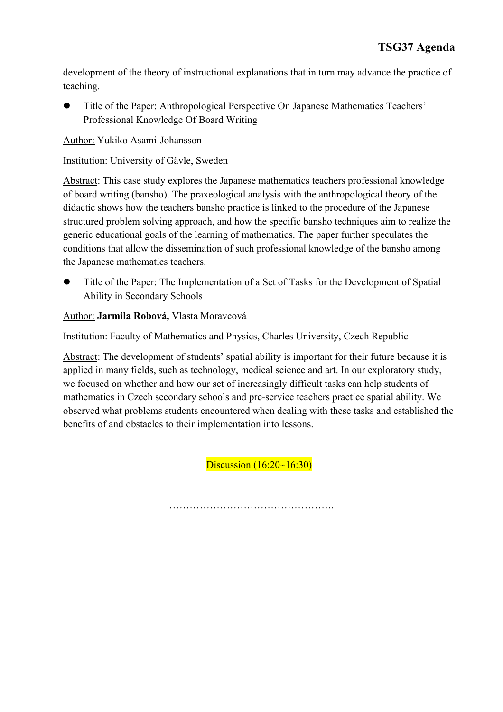development of the theory of instructional explanations that in turn may advance the practice of teaching.

Title of the Paper: Anthropological Perspective On Japanese Mathematics Teachers' Professional Knowledge Of Board Writing

Author: Yukiko Asami-Johansson

Institution: University of Gävle, Sweden

Abstract: This case study explores the Japanese mathematics teachers professional knowledge of board writing (bansho). The praxeological analysis with the anthropological theory of the didactic shows how the teachers bansho practice is linked to the procedure of the Japanese structured problem solving approach, and how the specific bansho techniques aim to realize the generic educational goals of the learning of mathematics. The paper further speculates the conditions that allow the dissemination of such professional knowledge of the bansho among the Japanese mathematics teachers.

l Title of the Paper: The Implementation of a Set of Tasks for the Development of Spatial Ability in Secondary Schools

Author: **Jarmila Robová,** Vlasta Moravcová

Institution: Faculty of Mathematics and Physics, Charles University, Czech Republic

Abstract: The development of students' spatial ability is important for their future because it is applied in many fields, such as technology, medical science and art. In our exploratory study, we focused on whether and how our set of increasingly difficult tasks can help students of mathematics in Czech secondary schools and pre-service teachers practice spatial ability. We observed what problems students encountered when dealing with these tasks and established the benefits of and obstacles to their implementation into lessons.

Discussion (16:20~16:30)

………………………………………….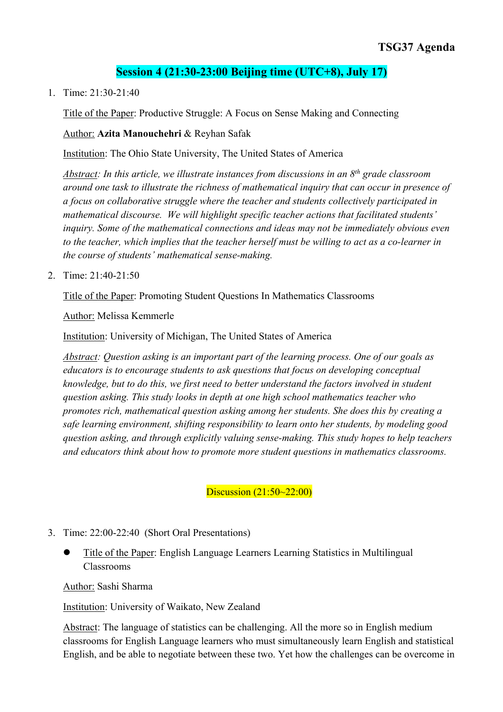# **Session 4 (21:30-23:00 Beijing time (UTC+8), July 17)**

1. Time: 21:30-21:40

Title of the Paper: Productive Struggle: A Focus on Sense Making and Connecting

Author: **Azita Manouchehri** & Reyhan Safak

Institution: The Ohio State University, The United States of America

*Abstract: In this article, we illustrate instances from discussions in an 8th grade classroom around one task to illustrate the richness of mathematical inquiry that can occur in presence of a focus on collaborative struggle where the teacher and students collectively participated in mathematical discourse. We will highlight specific teacher actions that facilitated students' inquiry. Some of the mathematical connections and ideas may not be immediately obvious even to the teacher, which implies that the teacher herself must be willing to act as a co-learner in the course of students' mathematical sense-making.*

2. Time: 21:40-21:50

Title of the Paper: Promoting Student Questions In Mathematics Classrooms

Author: Melissa Kemmerle

Institution: University of Michigan, The United States of America

*Abstract: Question asking is an important part of the learning process. One of our goals as educators is to encourage students to ask questions that focus on developing conceptual knowledge, but to do this, we first need to better understand the factors involved in student question asking. This study looks in depth at one high school mathematics teacher who promotes rich, mathematical question asking among her students. She does this by creating a safe learning environment, shifting responsibility to learn onto her students, by modeling good question asking, and through explicitly valuing sense-making. This study hopes to help teachers and educators think about how to promote more student questions in mathematics classrooms.*

Discussion (21:50~22:00)

3. Time: 22:00-22:40 (Short Oral Presentations)

l Title of the Paper: English Language Learners Learning Statistics in Multilingual Classrooms

Author: Sashi Sharma

Institution: University of Waikato, New Zealand

Abstract: The language of statistics can be challenging. All the more so in English medium classrooms for English Language learners who must simultaneously learn English and statistical English, and be able to negotiate between these two. Yet how the challenges can be overcome in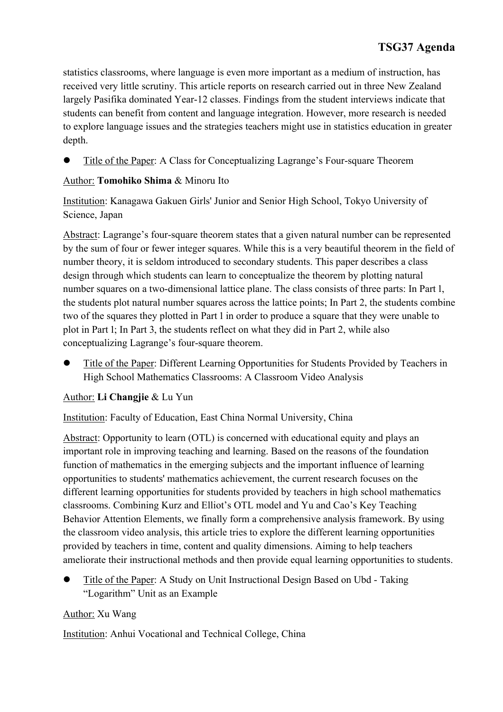statistics classrooms, where language is even more important as a medium of instruction, has received very little scrutiny. This article reports on research carried out in three New Zealand largely Pasifika dominated Year-12 classes. Findings from the student interviews indicate that students can benefit from content and language integration. However, more research is needed to explore language issues and the strategies teachers might use in statistics education in greater depth.

Title of the Paper: A Class for Conceptualizing Lagrange's Four-square Theorem

# Author: **Tomohiko Shima** & Minoru Ito

Institution: Kanagawa Gakuen Girls' Junior and Senior High School, Tokyo University of Science, Japan

Abstract: Lagrange's four-square theorem states that a given natural number can be represented by the sum of four or fewer integer squares. While this is a very beautiful theorem in the field of number theory, it is seldom introduced to secondary students. This paper describes a class design through which students can learn to conceptualize the theorem by plotting natural number squares on a two-dimensional lattice plane. The class consists of three parts: In Part 1, the students plot natural number squares across the lattice points; In Part 2, the students combine two of the squares they plotted in Part 1 in order to produce a square that they were unable to plot in Part 1; In Part 3, the students reflect on what they did in Part 2, while also conceptualizing Lagrange's four-square theorem.

Title of the Paper: Different Learning Opportunities for Students Provided by Teachers in High School Mathematics Classrooms: A Classroom Video Analysis

#### Author: **Li Changjie** & Lu Yun

Institution: Faculty of Education, East China Normal University, China

Abstract: Opportunity to learn (OTL) is concerned with educational equity and plays an important role in improving teaching and learning. Based on the reasons of the foundation function of mathematics in the emerging subjects and the important influence of learning opportunities to students' mathematics achievement, the current research focuses on the different learning opportunities for students provided by teachers in high school mathematics classrooms. Combining Kurz and Elliot's OTL model and Yu and Cao's Key Teaching Behavior Attention Elements, we finally form a comprehensive analysis framework. By using the classroom video analysis, this article tries to explore the different learning opportunities provided by teachers in time, content and quality dimensions. Aiming to help teachers ameliorate their instructional methods and then provide equal learning opportunities to students.

Title of the Paper: A Study on Unit Instructional Design Based on Ubd - Taking "Logarithm" Unit as an Example

#### Author: Xu Wang

Institution: Anhui Vocational and Technical College, China